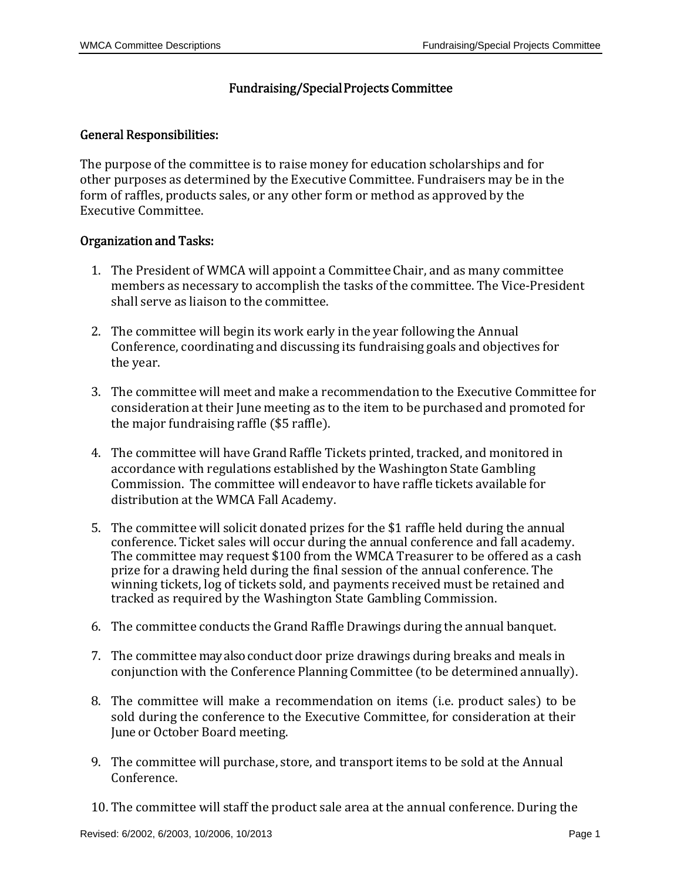## Fundraising/Special Projects Committee

## General Responsibilities:

The purpose of the committee is to raise money for education scholarships and for other purposes as determined by the Executive Committee. Fundraisers may be in the form of raffles, products sales, or any other form or method as approved by the Executive Committee. 

## Organization and Tasks:

- 1. The President of WMCA will appoint a Committee Chair, and as many committee members as necessary to accomplish the tasks of the committee. The Vice-President shall serve as liaison to the committee.
- 2. The committee will begin its work early in the year following the Annual Conference, coordinating and discussing its fundraising goals and objectives for the year.
- 3. The committee will meet and make a recommendation to the Executive Committee for consideration at their June meeting as to the item to be purchased and promoted for the major fundraising raffle  $(\$5$  raffle).
- 4. The committee will have Grand Raffle Tickets printed, tracked, and monitored in accordance with regulations established by the Washington State Gambling Commission. The committee will endeavor to have raffle tickets available for distribution at the WMCA Fall Academy.
- 5. The committee will solicit donated prizes for the \$1 raffle held during the annual conference. Ticket sales will occur during the annual conference and fall academy. The committee may request \$100 from the WMCA Treasurer to be offered as a cash prize for a drawing held during the final session of the annual conference. The winning tickets, log of tickets sold, and payments received must be retained and tracked as required by the Washington State Gambling Commission.
- 6. The committee conducts the Grand Raffle Drawings during the annual banquet.
- 7. The committee may also conduct door prize drawings during breaks and meals in conjunction with the Conference Planning Committee (to be determined annually).
- 8. The committee will make a recommendation on items (i.e. product sales) to be sold during the conference to the Executive Committee, for consideration at their June or October Board meeting.
- 9. The committee will purchase, store, and transport items to be sold at the Annual Conference.
- 10. The committee will staff the product sale area at the annual conference. During the